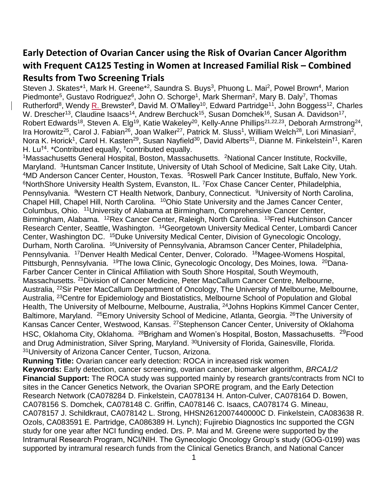# **Early Detection of Ovarian Cancer using the Risk of Ovarian Cancer Algorithm with Frequent CA125 Testing in Women at Increased Familial Risk – Combined Results from Two Screening Trials**

Steven J. Skates\*1, Mark H. Greene\*2, Saundra S. Buys<sup>3</sup>, Phuong L. Mai<sup>2</sup>, Powel Brown<sup>4</sup>, Marion Piedmonte<sup>5</sup>, Gustavo Rodriguez<sup>6</sup>, John O. Schorge<sup>1</sup>, Mark Sherman<sup>2</sup>, Mary B. Daly<sup>7</sup>, Thomas Rutherford<sup>8</sup>, Wendy R. Brewster<sup>9</sup>, David M. O'Malley<sup>10</sup>, Edward Partridge<sup>11</sup>, John Boggess<sup>12</sup>, Charles W. Drescher<sup>13</sup>, Claudine Isaacs<sup>14</sup>, Andrew Berchuck<sup>15</sup>, Susan Domchek<sup>16</sup>, Susan A. Davidson<sup>17</sup>, Robert Edwards<sup>18</sup>, Steven A. Elg<sup>19</sup>, Katie Wakeley<sup>20</sup>, Kelly-Anne Phillips<sup>21,22,23</sup>, Deborah Armstrong<sup>24</sup>, Ira Horowitz<sup>25</sup>, Carol J. Fabian<sup>26</sup>, Joan Walker<sup>27</sup>, Patrick M. Sluss<sup>1</sup>, William Welch<sup>28</sup>, Lori Minasian<sup>2</sup>, Nora K. Horick<sup>1</sup>, Carol H. Kasten<sup>29</sup>, Susan Nayfield<sup>30</sup>, David Alberts<sup>31</sup>, Dianne M. Finkelstein<sup>†1</sup>, Karen H. Lu<sup>†4</sup>. \*Contributed equally, <sup>†</sup>contributed equally.

<sup>1</sup>Massachusetts General Hospital, Boston, Massachusetts. <sup>2</sup>National Cancer Institute, Rockville, Maryland. <sup>3</sup>Huntsman Cancer Institute, University of Utah School of Medicine, Salt Lake City, Utah. <sup>4</sup>MD Anderson Cancer Center, Houston, Texas. <sup>5</sup>Roswell Park Cancer Institute, Buffalo, New York. <sup>6</sup>NorthShore University Health System, Evanston, IL. <sup>7</sup>Fox Chase Cancer Center, Philadelphia, Pennsylvania. <sup>8</sup>Western CT Health Network, Danbury, Connecticut. <sup>9</sup>University of North Carolina, Chapel Hill, Chapel Hill, North Carolina. <sup>10</sup>Ohio State University and the James Cancer Center, Columbus, Ohio. <sup>11</sup>University of Alabama at Birmingham, Comprehensive Cancer Center, Birmingham, Alabama. <sup>12</sup>Rex Cancer Center, Raleigh, North Carolina. <sup>13</sup>Fred Hutchinson Cancer Research Center, Seattle, Washington. <sup>14</sup>Georgetown University Medical Center, Lombardi Cancer Center, Washington DC. <sup>15</sup>Duke University Medical Center, Division of Gynecologic Oncology, Durham, North Carolina. <sup>16</sup>University of Pennsylvania, Abramson Cancer Center, Philadelphia, Pennsylvania. <sup>17</sup>Denver Health Medical Center, Denver, Colorado. <sup>18</sup>Magee-Womens Hospital, Pittsburgh, Pennsylvania. <sup>19</sup>The Iowa Clinic, Gynecologic Oncology, Des Moines, Iowa. <sup>20</sup>Dana-Farber Cancer Center in Clinical Affiliation with South Shore Hospital, South Weymouth, Massachusetts. <sup>21</sup>Division of Cancer Medicine, Peter MacCallum Cancer Centre, Melbourne, Australia, <sup>22</sup>Sir Peter MacCallum Department of Oncology, The University of Melbourne, Melbourne, Australia, <sup>23</sup>Centre for Epidemiology and Biostatistics, Melbourne School of Population and Global Health, The University of Melbourne, Melbourne, Australia, <sup>24</sup>Johns Hopkins Kimmel Cancer Center, Baltimore, Maryland. <sup>25</sup>Emory University School of Medicine, Atlanta, Georgia. <sup>26</sup>The University of Kansas Cancer Center, Westwood, Kansas. <sup>27</sup>Stephenson Cancer Center, University of Oklahoma HSC, Oklahoma City, Oklahoma. <sup>28</sup>Brigham and Women's Hospital, Boston, Massachusetts. <sup>29</sup>Food and Drug Administration, Silver Spring, Maryland. <sup>30</sup>University of Florida, Gainesville, Florida. <sup>31</sup>University of Arizona Cancer Center, Tucson, Arizona.

**Running Title:** Ovarian cancer early detection: ROCA in increased risk women **Keywords:** Early detection, cancer screening, ovarian cancer, biomarker algorithm, *BRCA1/2* **Financial Support:** The ROCA study was supported mainly by research grants/contracts from NCI to sites in the Cancer Genetics Network, the Ovarian SPORE program, and the Early Detection Research Network (CA078284 D. Finkelstein, CA078134 H. Anton-Culver, CA078164 D. Bowen, CA078156 S. Domchek, CA078148 C. Griffin, CA078146 C. Isaacs, CA078174 G. Mineau, CA078157 J. Schildkraut, CA078142 L. Strong, HHSN2612007440000C D. Finkelstein, CA083638 R. Ozols, CA083591 E. Partridge, CA086389 H. Lynch); Fujirebio Diagnostics Inc supported the CGN study for one year after NCI funding ended. Drs. P. Mai and M. Greene were supported by the Intramural Research Program, NCI/NIH. The Gynecologic Oncology Group's study (GOG-0199) was supported by intramural research funds from the Clinical Genetics Branch, and National Cancer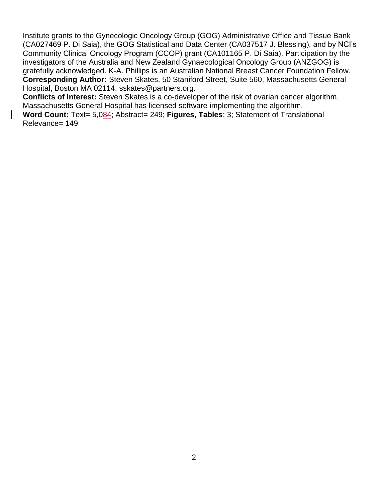Institute grants to the Gynecologic Oncology Group (GOG) Administrative Office and Tissue Bank (CA027469 P. Di Saia), the GOG Statistical and Data Center (CA037517 J. Blessing), and by NCI's Community Clinical Oncology Program (CCOP) grant (CA101165 P. Di Saia). Participation by the investigators of the Australia and New Zealand Gynaecological Oncology Group (ANZGOG) is gratefully acknowledged. K-A. Phillips is an Australian National Breast Cancer Foundation Fellow. **Corresponding Author:** Steven Skates, 50 Staniford Street, Suite 560, Massachusetts General Hospital, Boston MA 02114. sskates@partners.org.

**Conflicts of Interest:** Steven Skates is a co-developer of the risk of ovarian cancer algorithm. Massachusetts General Hospital has licensed software implementing the algorithm.

**Word Count:** Text= 5,084; Abstract= 249; **Figures, Tables**: 3; Statement of Translational Relevance= 149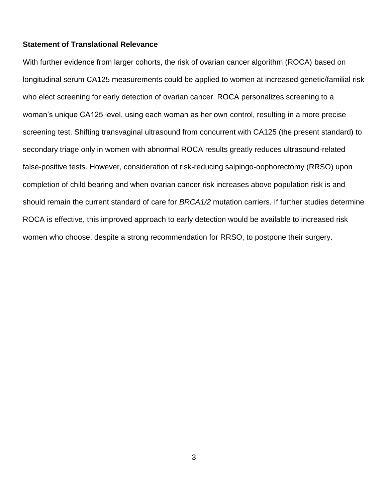#### **Statement of Translational Relevance**

With further evidence from larger cohorts, the risk of ovarian cancer algorithm (ROCA) based on longitudinal serum CA125 measurements could be applied to women at increased genetic/familial risk who elect screening for early detection of ovarian cancer. ROCA personalizes screening to a woman's unique CA125 level, using each woman as her own control, resulting in a more precise screening test. Shifting transvaginal ultrasound from concurrent with CA125 (the present standard) to secondary triage only in women with abnormal ROCA results greatly reduces ultrasound-related false-positive tests. However, consideration of risk-reducing salpingo-oophorectomy (RRSO) upon completion of child bearing and when ovarian cancer risk increases above population risk is and should remain the current standard of care for *BRCA1/2* mutation carriers. If further studies determine ROCA is effective, this improved approach to early detection would be available to increased risk women who choose, despite a strong recommendation for RRSO, to postpone their surgery.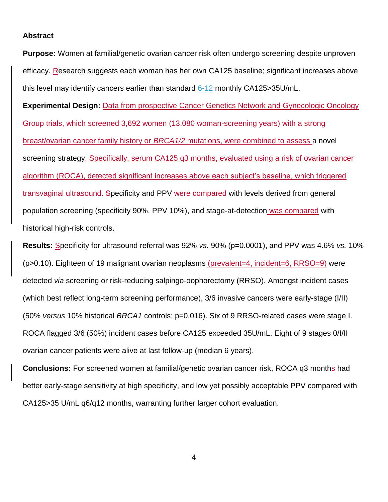## **Abstract**

**Purpose:** Women at familial/genetic ovarian cancer risk often undergo screening despite unproven efficacy. Research suggests each woman has her own CA125 baseline; significant increases above this level may identify cancers earlier than standard 6-12 monthly CA125>35U/mL.

**Experimental Design:** Data from prospective Cancer Genetics Network and Gynecologic Oncology Group trials, which screened 3,692 women (13,080 woman-screening years) with a strong breast/ovarian cancer family history or *BRCA1/2* mutations, were combined to assess a novel screening strategy. Specifically, serum CA125 q3 months, evaluated using a risk of ovarian cancer algorithm (ROCA), detected significant increases above each subject's baseline, which triggered transvaginal ultrasound. Specificity and PPV were compared with levels derived from general population screening (specificity 90%, PPV 10%), and stage-at-detection was compared with historical high-risk controls.

**Results:** Specificity for ultrasound referral was 92% *vs.* 90% (p=0.0001), and PPV was 4.6% *vs.* 10% (p>0.10). Eighteen of 19 malignant ovarian neoplasms (prevalent=4, incident=6, RRSO=9) were detected *via* screening or risk-reducing salpingo-oophorectomy (RRSO). Amongst incident cases (which best reflect long-term screening performance), 3/6 invasive cancers were early-stage (I/II) (50% *versus* 10% historical *BRCA1* controls; p=0.016). Six of 9 RRSO-related cases were stage I. ROCA flagged 3/6 (50%) incident cases before CA125 exceeded 35U/mL. Eight of 9 stages 0/I/II ovarian cancer patients were alive at last follow-up (median 6 years).

**Conclusions:** For screened women at familial/genetic ovarian cancer risk, ROCA q3 months had better early-stage sensitivity at high specificity, and low yet possibly acceptable PPV compared with CA125>35 U/mL q6/q12 months, warranting further larger cohort evaluation.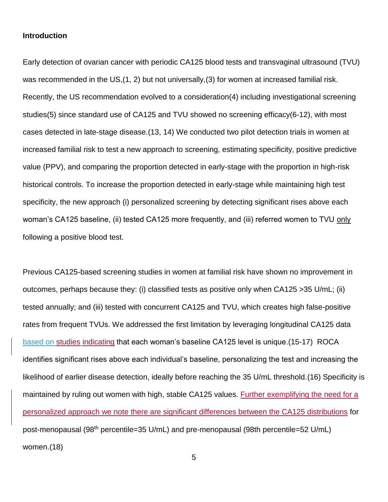## **Introduction**

Early detection of ovarian cancer with periodic CA125 blood tests and transvaginal ultrasound (TVU) was recommended in the US, (1, 2) but not universally, (3) for women at increased familial risk. Recently, the US recommendation evolved to a consideration(4) including investigational screening studies(5) since standard use of CA125 and TVU showed no screening efficacy(6-12), with most cases detected in late-stage disease.(13, 14) We conducted two pilot detection trials in women at increased familial risk to test a new approach to screening, estimating specificity, positive predictive value (PPV), and comparing the proportion detected in early-stage with the proportion in high-risk historical controls. To increase the proportion detected in early-stage while maintaining high test specificity, the new approach (i) personalized screening by detecting significant rises above each woman's CA125 baseline, (ii) tested CA125 more frequently, and (iii) referred women to TVU only following a positive blood test.

Previous CA125-based screening studies in women at familial risk have shown no improvement in outcomes, perhaps because they: (i) classified tests as positive only when CA125 >35 U/mL; (ii) tested annually; and (iii) tested with concurrent CA125 and TVU, which creates high false-positive rates from frequent TVUs. We addressed the first limitation by leveraging longitudinal CA125 data based on studies indicating that each woman's baseline CA125 level is unique.(15-17) ROCA identifies significant rises above each individual's baseline, personalizing the test and increasing the likelihood of earlier disease detection, ideally before reaching the 35 U/mL threshold.(16) Specificity is maintained by ruling out women with high, stable CA125 values. Further exemplifying the need for a personalized approach we note there are significant differences between the CA125 distributions for post-menopausal (98<sup>th</sup> percentile=35 U/mL) and pre-menopausal (98th percentile=52 U/mL) women.(18)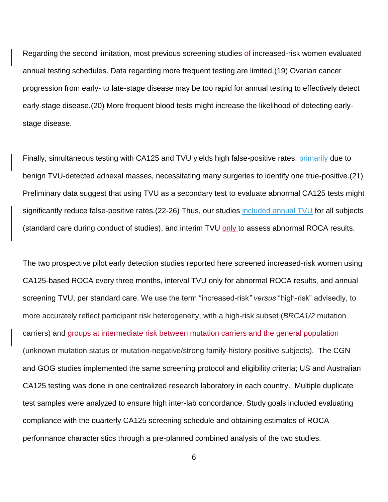Regarding the second limitation, most previous screening studies of increased-risk women evaluated annual testing schedules. Data regarding more frequent testing are limited.(19) Ovarian cancer progression from early- to late-stage disease may be too rapid for annual testing to effectively detect early-stage disease.(20) More frequent blood tests might increase the likelihood of detecting earlystage disease.

Finally, simultaneous testing with CA125 and TVU yields high false-positive rates, primarily due to benign TVU-detected adnexal masses, necessitating many surgeries to identify one true-positive.(21) Preliminary data suggest that using TVU as a secondary test to evaluate abnormal CA125 tests might significantly reduce false-positive rates.(22-26) Thus, our studies included annual TVU for all subjects (standard care during conduct of studies), and interim TVU only to assess abnormal ROCA results.

The two prospective pilot early detection studies reported here screened increased-risk women using CA125-based ROCA every three months, interval TVU only for abnormal ROCA results, and annual screening TVU, per standard care. We use the term "increased-risk*" versus* "high-risk" advisedly, to more accurately reflect participant risk heterogeneity, with a high-risk subset (*BRCA1/2* mutation carriers) and groups at intermediate risk between mutation carriers and the general population (unknown mutation status or mutation-negative/strong family-history-positive subjects). The CGN and GOG studies implemented the same screening protocol and eligibility criteria; US and Australian CA125 testing was done in one centralized research laboratory in each country. Multiple duplicate test samples were analyzed to ensure high inter-lab concordance. Study goals included evaluating compliance with the quarterly CA125 screening schedule and obtaining estimates of ROCA performance characteristics through a pre-planned combined analysis of the two studies.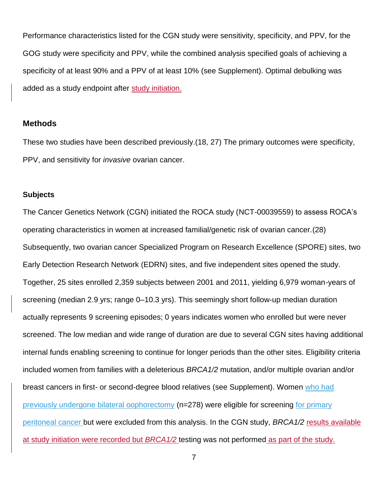Performance characteristics listed for the CGN study were sensitivity, specificity, and PPV, for the GOG study were specificity and PPV, while the combined analysis specified goals of achieving a specificity of at least 90% and a PPV of at least 10% (see Supplement). Optimal debulking was added as a study endpoint after study initiation.

## **Methods**

These two studies have been described previously.(18, 27) The primary outcomes were specificity, PPV, and sensitivity for *invasive* ovarian cancer.

#### **Subjects**

The Cancer Genetics Network (CGN) initiated the ROCA study (NCT-00039559) to assess ROCA's operating characteristics in women at increased familial/genetic risk of ovarian cancer.(28) Subsequently, two ovarian cancer Specialized Program on Research Excellence (SPORE) sites, two Early Detection Research Network (EDRN) sites, and five independent sites opened the study. Together, 25 sites enrolled 2,359 subjects between 2001 and 2011, yielding 6,979 woman-years of screening (median 2.9 yrs; range 0–10.3 yrs). This seemingly short follow-up median duration actually represents 9 screening episodes; 0 years indicates women who enrolled but were never screened. The low median and wide range of duration are due to several CGN sites having additional internal funds enabling screening to continue for longer periods than the other sites. Eligibility criteria included women from families with a deleterious *BRCA1/2* mutation, and/or multiple ovarian and/or breast cancers in first- or second-degree blood relatives (see Supplement). Women who had previously undergone bilateral oophorectomy (n=278) were eligible for screening for primary peritoneal cancer but were excluded from this analysis. In the CGN study, *BRCA1/2* results available at study initiation were recorded but *BRCA1/2* testing was not performed as part of the study.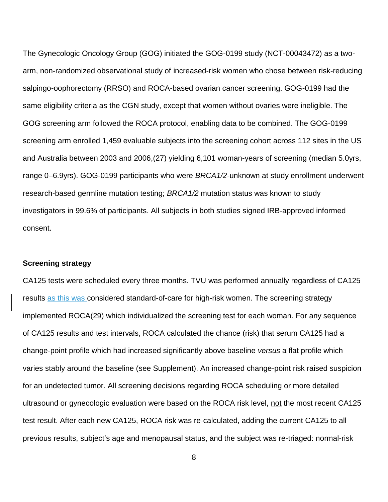The Gynecologic Oncology Group (GOG) initiated the GOG-0199 study (NCT-00043472) as a twoarm, non-randomized observational study of increased-risk women who chose between risk-reducing salpingo-oophorectomy (RRSO) and ROCA-based ovarian cancer screening. GOG-0199 had the same eligibility criteria as the CGN study, except that women without ovaries were ineligible. The GOG screening arm followed the ROCA protocol, enabling data to be combined. The GOG-0199 screening arm enrolled 1,459 evaluable subjects into the screening cohort across 112 sites in the US and Australia between 2003 and 2006,(27) yielding 6,101 woman-years of screening (median 5.0yrs, range 0–6.9yrs). GOG-0199 participants who were *BRCA1/2-*unknown at study enrollment underwent research-based germline mutation testing; *BRCA1/2* mutation status was known to study investigators in 99.6% of participants. All subjects in both studies signed IRB-approved informed consent.

## **Screening strategy**

CA125 tests were scheduled every three months. TVU was performed annually regardless of CA125 results as this was considered standard-of-care for high-risk women. The screening strategy implemented ROCA(29) which individualized the screening test for each woman. For any sequence of CA125 results and test intervals, ROCA calculated the chance (risk) that serum CA125 had a change-point profile which had increased significantly above baseline *versus* a flat profile which varies stably around the baseline (see Supplement). An increased change-point risk raised suspicion for an undetected tumor. All screening decisions regarding ROCA scheduling or more detailed ultrasound or gynecologic evaluation were based on the ROCA risk level, not the most recent CA125 test result. After each new CA125, ROCA risk was re-calculated, adding the current CA125 to all previous results, subject's age and menopausal status, and the subject was re-triaged: normal-risk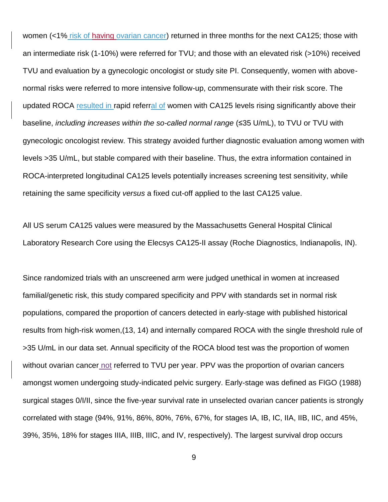women (<1% risk of having ovarian cancer) returned in three months for the next CA125; those with an intermediate risk (1-10%) were referred for TVU; and those with an elevated risk (>10%) received TVU and evaluation by a gynecologic oncologist or study site PI. Consequently, women with abovenormal risks were referred to more intensive follow-up, commensurate with their risk score. The updated ROCA resulted in rapid referral of women with CA125 levels rising significantly above their baseline, *including increases within the so-called normal range* (≤35 U/mL), to TVU or TVU with gynecologic oncologist review. This strategy avoided further diagnostic evaluation among women with levels >35 U/mL, but stable compared with their baseline. Thus, the extra information contained in ROCA-interpreted longitudinal CA125 levels potentially increases screening test sensitivity, while retaining the same specificity *versus* a fixed cut-off applied to the last CA125 value.

All US serum CA125 values were measured by the Massachusetts General Hospital Clinical Laboratory Research Core using the Elecsys CA125-II assay (Roche Diagnostics, Indianapolis, IN).

Since randomized trials with an unscreened arm were judged unethical in women at increased familial/genetic risk, this study compared specificity and PPV with standards set in normal risk populations, compared the proportion of cancers detected in early-stage with published historical results from high-risk women,(13, 14) and internally compared ROCA with the single threshold rule of >35 U/mL in our data set. Annual specificity of the ROCA blood test was the proportion of women without ovarian cancer not referred to TVU per year. PPV was the proportion of ovarian cancers amongst women undergoing study-indicated pelvic surgery. Early-stage was defined as FIGO (1988) surgical stages 0/I/II, since the five-year survival rate in unselected ovarian cancer patients is strongly correlated with stage (94%, 91%, 86%, 80%, 76%, 67%, for stages IA, IB, IC, IIA, IIB, IIC, and 45%, 39%, 35%, 18% for stages IIIA, IIIB, IIIC, and IV, respectively). The largest survival drop occurs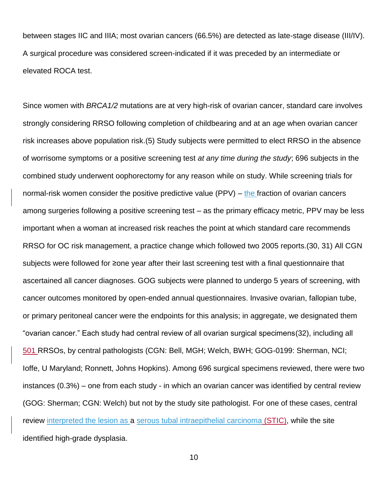between stages IIC and IIIA; most ovarian cancers (66.5%) are detected as late-stage disease (III/IV). A surgical procedure was considered screen-indicated if it was preceded by an intermediate or elevated ROCA test.

Since women with *BRCA1/2* mutations are at very high-risk of ovarian cancer, standard care involves strongly considering RRSO following completion of childbearing and at an age when ovarian cancer risk increases above population risk.(5) Study subjects were permitted to elect RRSO in the absence of worrisome symptoms or a positive screening test *at any time during the study*; 696 subjects in the combined study underwent oophorectomy for any reason while on study. While screening trials for normal-risk women consider the positive predictive value (PPV) – the fraction of ovarian cancers among surgeries following a positive screening test – as the primary efficacy metric, PPV may be less important when a woman at increased risk reaches the point at which standard care recommends RRSO for OC risk management, a practice change which followed two 2005 reports.(30, 31) All CGN subjects were followed for ≥one year after their last screening test with a final questionnaire that ascertained all cancer diagnoses. GOG subjects were planned to undergo 5 years of screening, with cancer outcomes monitored by open-ended annual questionnaires. Invasive ovarian, fallopian tube, or primary peritoneal cancer were the endpoints for this analysis; in aggregate, we designated them "ovarian cancer." Each study had central review of all ovarian surgical specimens(32), including all 501 RRSOs, by central pathologists (CGN: Bell, MGH; Welch, BWH; GOG-0199: Sherman, NCI; Ioffe, U Maryland; Ronnett, Johns Hopkins). Among 696 surgical specimens reviewed, there were two instances (0.3%) – one from each study - in which an ovarian cancer was identified by central review (GOG: Sherman; CGN: Welch) but not by the study site pathologist. For one of these cases, central review interpreted the lesion as a serous tubal intraepithelial carcinoma (STIC), while the site identified high-grade dysplasia.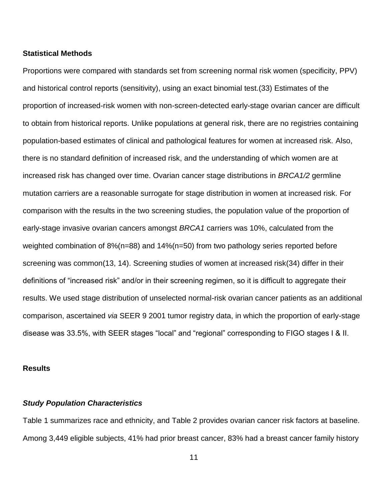## **Statistical Methods**

Proportions were compared with standards set from screening normal risk women (specificity, PPV) and historical control reports (sensitivity), using an exact binomial test.(33) Estimates of the proportion of increased-risk women with non-screen-detected early-stage ovarian cancer are difficult to obtain from historical reports. Unlike populations at general risk, there are no registries containing population-based estimates of clinical and pathological features for women at increased risk. Also, there is no standard definition of increased risk, and the understanding of which women are at increased risk has changed over time. Ovarian cancer stage distributions in *BRCA1/2* germline mutation carriers are a reasonable surrogate for stage distribution in women at increased risk. For comparison with the results in the two screening studies, the population value of the proportion of early-stage invasive ovarian cancers amongst *BRCA1* carriers was 10%, calculated from the weighted combination of 8%(n=88) and 14%(n=50) from two pathology series reported before screening was common(13, 14). Screening studies of women at increased risk(34) differ in their definitions of "increased risk" and/or in their screening regimen, so it is difficult to aggregate their results. We used stage distribution of unselected normal-risk ovarian cancer patients as an additional comparison, ascertained *via* SEER 9 2001 tumor registry data, in which the proportion of early-stage disease was 33.5%, with SEER stages "local" and "regional" corresponding to FIGO stages I & II.

#### **Results**

## *Study Population Characteristics*

Table 1 summarizes race and ethnicity, and Table 2 provides ovarian cancer risk factors at baseline. Among 3,449 eligible subjects, 41% had prior breast cancer, 83% had a breast cancer family history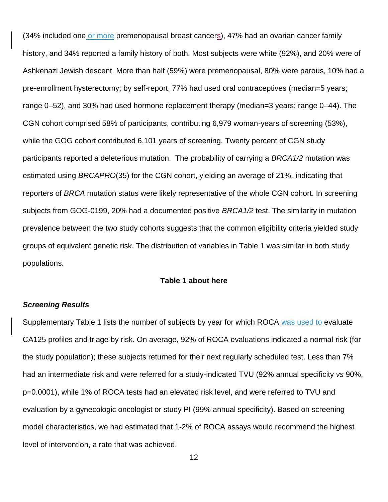(34% included one or more premenopausal breast cancers), 47% had an ovarian cancer family history, and 34% reported a family history of both. Most subjects were white (92%), and 20% were of Ashkenazi Jewish descent. More than half (59%) were premenopausal, 80% were parous, 10% had a pre-enrollment hysterectomy; by self-report, 77% had used oral contraceptives (median=5 years; range 0–52), and 30% had used hormone replacement therapy (median=3 years; range 0–44). The CGN cohort comprised 58% of participants, contributing 6,979 woman-years of screening (53%), while the GOG cohort contributed 6,101 years of screening. Twenty percent of CGN study participants reported a deleterious mutation. The probability of carrying a *BRCA1/2* mutation was estimated using *BRCAPRO*(35) for the CGN cohort, yielding an average of 21%*,* indicating that reporters of *BRCA* mutation status were likely representative of the whole CGN cohort. In screening subjects from GOG-0199, 20% had a documented positive *BRCA1/2* test. The similarity in mutation prevalence between the two study cohorts suggests that the common eligibility criteria yielded study groups of equivalent genetic risk. The distribution of variables in Table 1 was similar in both study populations.

#### **Table 1 about here**

#### *Screening Results*

Supplementary Table 1 lists the number of subjects by year for which ROCA was used to evaluate CA125 profiles and triage by risk. On average, 92% of ROCA evaluations indicated a normal risk (for the study population); these subjects returned for their next regularly scheduled test. Less than 7% had an intermediate risk and were referred for a study-indicated TVU (92% annual specificity *vs* 90%, p=0.0001), while 1% of ROCA tests had an elevated risk level, and were referred to TVU and evaluation by a gynecologic oncologist or study PI (99% annual specificity). Based on screening model characteristics, we had estimated that 1-2% of ROCA assays would recommend the highest level of intervention, a rate that was achieved.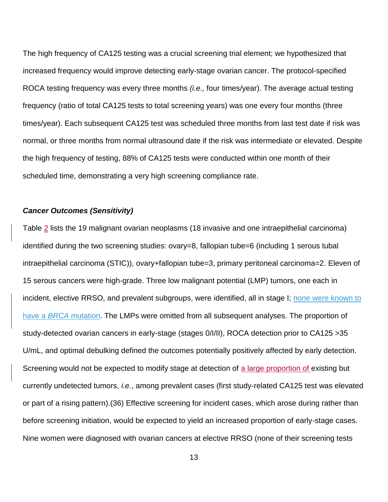The high frequency of CA125 testing was a crucial screening trial element; we hypothesized that increased frequency would improve detecting early-stage ovarian cancer. The protocol-specified ROCA testing frequency was every three months *(i.e.,* four times/year). The average actual testing frequency (ratio of total CA125 tests to total screening years) was one every four months (three times/year). Each subsequent CA125 test was scheduled three months from last test date if risk was normal, or three months from normal ultrasound date if the risk was intermediate or elevated. Despite the high frequency of testing, 88% of CA125 tests were conducted within one month of their scheduled time, demonstrating a very high screening compliance rate.

### *Cancer Outcomes (Sensitivity)*

Table 2 lists the 19 malignant ovarian neoplasms (18 invasive and one intraepithelial carcinoma) identified during the two screening studies: ovary=8, fallopian tube=6 (including 1 serous tubal intraepithelial carcinoma (STIC)), ovary+fallopian tube=3, primary peritoneal carcinoma=2. Eleven of 15 serous cancers were high-grade. Three low malignant potential (LMP) tumors, one each in incident, elective RRSO, and prevalent subgroups, were identified, all in stage I; none were known to have a *BRCA* mutation. The LMPs were omitted from all subsequent analyses. The proportion of study-detected ovarian cancers in early-stage (stages 0/I/II), ROCA detection prior to CA125 >35 U/mL, and optimal debulking defined the outcomes potentially positively affected by early detection. Screening would not be expected to modify stage at detection of a large proportion of existing but currently undetected tumors, *i.e.*, among prevalent cases (first study-related CA125 test was elevated or part of a rising pattern).(36) Effective screening for incident cases, which arose during rather than before screening initiation, would be expected to yield an increased proportion of early-stage cases. Nine women were diagnosed with ovarian cancers at elective RRSO (none of their screening tests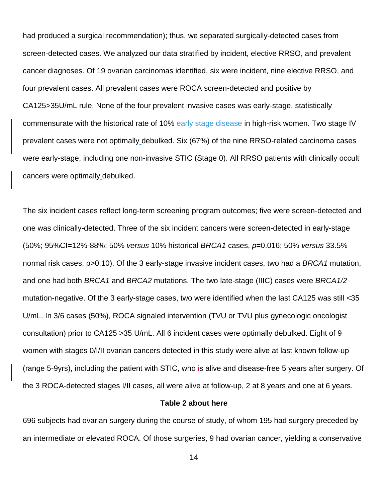had produced a surgical recommendation); thus, we separated surgically-detected cases from screen-detected cases. We analyzed our data stratified by incident, elective RRSO, and prevalent cancer diagnoses. Of 19 ovarian carcinomas identified, six were incident, nine elective RRSO, and four prevalent cases. All prevalent cases were ROCA screen-detected and positive by CA125>35U/mL rule. None of the four prevalent invasive cases was early-stage, statistically commensurate with the historical rate of 10% early stage disease in high-risk women. Two stage IV prevalent cases were not optimally debulked. Six (67%) of the nine RRSO-related carcinoma cases were early-stage, including one non-invasive STIC (Stage 0). All RRSO patients with clinically occult cancers were optimally debulked.

The six incident cases reflect long-term screening program outcomes; five were screen-detected and one was clinically-detected. Three of the six incident cancers were screen-detected in early-stage (50%; 95%CI=12%-88%; 50% *versus* 10% historical *BRCA1* cases, *p*=0.016; 50% *versus* 33.5% normal risk cases, p>0.10). Of the 3 early-stage invasive incident cases, two had a *BRCA1* mutation, and one had both *BRCA1* and *BRCA2* mutations. The two late-stage (IIIC) cases were *BRCA1/2* mutation-negative. Of the 3 early-stage cases, two were identified when the last CA125 was still <35 U/mL. In 3/6 cases (50%), ROCA signaled intervention (TVU or TVU plus gynecologic oncologist consultation) prior to CA125 >35 U/mL. All 6 incident cases were optimally debulked. Eight of 9 women with stages 0/I/II ovarian cancers detected in this study were alive at last known follow-up (range 5-9yrs), including the patient with STIC, who is alive and disease-free 5 years after surgery. Of the 3 ROCA-detected stages I/II cases, all were alive at follow-up, 2 at 8 years and one at 6 years.

#### **Table 2 about here**

696 subjects had ovarian surgery during the course of study, of whom 195 had surgery preceded by an intermediate or elevated ROCA. Of those surgeries, 9 had ovarian cancer, yielding a conservative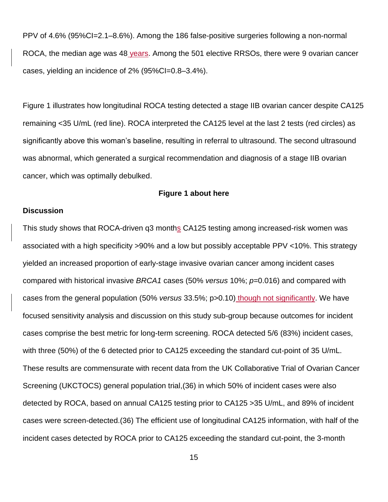PPV of 4.6% (95%CI=2.1–8.6%). Among the 186 false-positive surgeries following a non-normal ROCA, the median age was 48 years. Among the 501 elective RRSOs, there were 9 ovarian cancer cases, yielding an incidence of 2% (95%CI=0.8–3.4%).

Figure 1 illustrates how longitudinal ROCA testing detected a stage IIB ovarian cancer despite CA125 remaining <35 U/mL (red line). ROCA interpreted the CA125 level at the last 2 tests (red circles) as significantly above this woman's baseline, resulting in referral to ultrasound. The second ultrasound was abnormal, which generated a surgical recommendation and diagnosis of a stage IIB ovarian cancer, which was optimally debulked.

## **Figure 1 about here**

## **Discussion**

This study shows that ROCA-driven q3 months CA125 testing among increased-risk women was associated with a high specificity >90% and a low but possibly acceptable PPV <10%. This strategy yielded an increased proportion of early-stage invasive ovarian cancer among incident cases compared with historical invasive *BRCA1* cases (50% *versus* 10%; *p*=0.016) and compared with cases from the general population (50% *versus* 33.5%; p>0.10) though not significantly. We have focused sensitivity analysis and discussion on this study sub-group because outcomes for incident cases comprise the best metric for long-term screening. ROCA detected 5/6 (83%) incident cases, with three (50%) of the 6 detected prior to CA125 exceeding the standard cut-point of 35 U/mL. These results are commensurate with recent data from the UK Collaborative Trial of Ovarian Cancer Screening (UKCTOCS) general population trial,(36) in which 50% of incident cases were also detected by ROCA, based on annual CA125 testing prior to CA125 >35 U/mL, and 89% of incident cases were screen-detected.(36) The efficient use of longitudinal CA125 information, with half of the incident cases detected by ROCA prior to CA125 exceeding the standard cut-point, the 3-month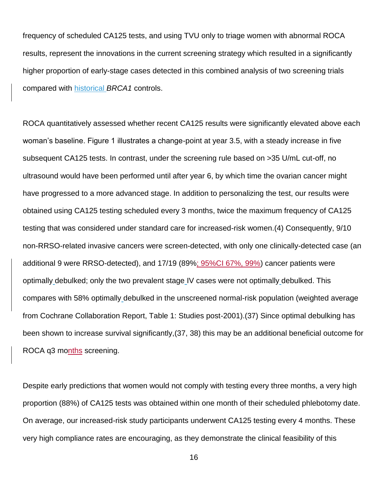frequency of scheduled CA125 tests, and using TVU only to triage women with abnormal ROCA results, represent the innovations in the current screening strategy which resulted in a significantly higher proportion of early-stage cases detected in this combined analysis of two screening trials compared with historical *BRCA1* controls.

ROCA quantitatively assessed whether recent CA125 results were significantly elevated above each woman's baseline. Figure 1 illustrates a change-point at year 3.5, with a steady increase in five subsequent CA125 tests. In contrast, under the screening rule based on >35 U/mL cut-off, no ultrasound would have been performed until after year 6, by which time the ovarian cancer might have progressed to a more advanced stage. In addition to personalizing the test, our results were obtained using CA125 testing scheduled every 3 months, twice the maximum frequency of CA125 testing that was considered under standard care for increased-risk women.(4) Consequently, 9/10 non-RRSO-related invasive cancers were screen-detected, with only one clinically-detected case (an additional 9 were RRSO-detected), and 17/19 (89%; 95%CI 67%, 99%) cancer patients were optimally debulked; only the two prevalent stage IV cases were not optimally debulked. This compares with 58% optimally debulked in the unscreened normal-risk population (weighted average from Cochrane Collaboration Report, Table 1: Studies post-2001).(37) Since optimal debulking has been shown to increase survival significantly,(37, 38) this may be an additional beneficial outcome for ROCA q3 months screening.

Despite early predictions that women would not comply with testing every three months, a very high proportion (88%) of CA125 tests was obtained within one month of their scheduled phlebotomy date. On average, our increased-risk study participants underwent CA125 testing every 4 months. These very high compliance rates are encouraging, as they demonstrate the clinical feasibility of this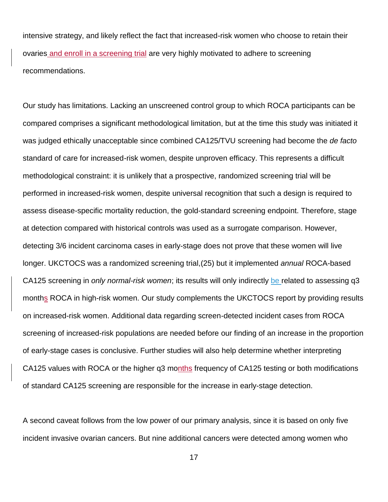intensive strategy, and likely reflect the fact that increased-risk women who choose to retain their ovaries and enroll in a screening trial are very highly motivated to adhere to screening recommendations.

Our study has limitations. Lacking an unscreened control group to which ROCA participants can be compared comprises a significant methodological limitation, but at the time this study was initiated it was judged ethically unacceptable since combined CA125/TVU screening had become the *de facto* standard of care for increased-risk women, despite unproven efficacy. This represents a difficult methodological constraint: it is unlikely that a prospective, randomized screening trial will be performed in increased-risk women, despite universal recognition that such a design is required to assess disease-specific mortality reduction, the gold-standard screening endpoint. Therefore, stage at detection compared with historical controls was used as a surrogate comparison. However, detecting 3/6 incident carcinoma cases in early-stage does not prove that these women will live longer. UKCTOCS was a randomized screening trial,(25) but it implemented *annual* ROCA-based CA125 screening in *only normal-risk women*; its results will only indirectly be related to assessing q3 months ROCA in high-risk women. Our study complements the UKCTOCS report by providing results on increased-risk women. Additional data regarding screen-detected incident cases from ROCA screening of increased-risk populations are needed before our finding of an increase in the proportion of early-stage cases is conclusive. Further studies will also help determine whether interpreting CA125 values with ROCA or the higher q3 months frequency of CA125 testing or both modifications of standard CA125 screening are responsible for the increase in early-stage detection.

A second caveat follows from the low power of our primary analysis, since it is based on only five incident invasive ovarian cancers. But nine additional cancers were detected among women who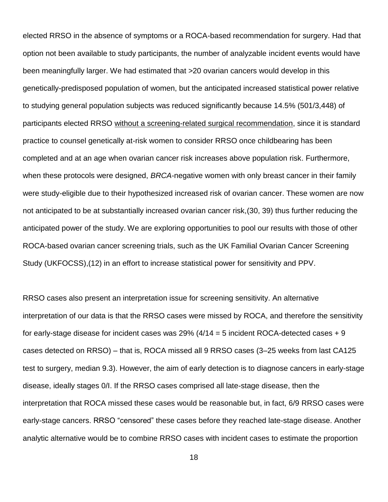elected RRSO in the absence of symptoms or a ROCA-based recommendation for surgery. Had that option not been available to study participants, the number of analyzable incident events would have been meaningfully larger. We had estimated that >20 ovarian cancers would develop in this genetically-predisposed population of women, but the anticipated increased statistical power relative to studying general population subjects was reduced significantly because 14.5% (501/3,448) of participants elected RRSO without a screening-related surgical recommendation, since it is standard practice to counsel genetically at-risk women to consider RRSO once childbearing has been completed and at an age when ovarian cancer risk increases above population risk. Furthermore, when these protocols were designed, *BRCA*-negative women with only breast cancer in their family were study-eligible due to their hypothesized increased risk of ovarian cancer. These women are now not anticipated to be at substantially increased ovarian cancer risk,(30, 39) thus further reducing the anticipated power of the study. We are exploring opportunities to pool our results with those of other ROCA-based ovarian cancer screening trials, such as the UK Familial Ovarian Cancer Screening Study (UKFOCSS),(12) in an effort to increase statistical power for sensitivity and PPV.

RRSO cases also present an interpretation issue for screening sensitivity. An alternative interpretation of our data is that the RRSO cases were missed by ROCA, and therefore the sensitivity for early-stage disease for incident cases was 29%  $(4/14 = 5$  incident ROCA-detected cases  $+9$ cases detected on RRSO) – that is, ROCA missed all 9 RRSO cases (3–25 weeks from last CA125 test to surgery, median 9.3). However, the aim of early detection is to diagnose cancers in early-stage disease, ideally stages 0/I. If the RRSO cases comprised all late-stage disease, then the interpretation that ROCA missed these cases would be reasonable but, in fact, 6/9 RRSO cases were early-stage cancers. RRSO "censored" these cases before they reached late-stage disease. Another analytic alternative would be to combine RRSO cases with incident cases to estimate the proportion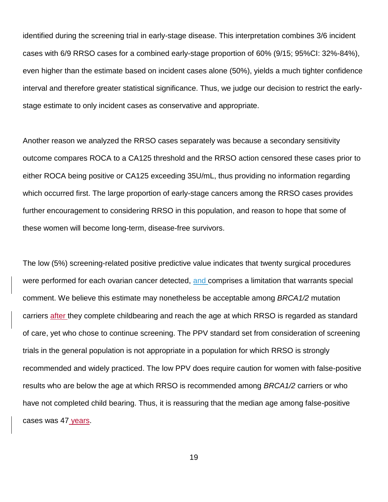identified during the screening trial in early-stage disease. This interpretation combines 3/6 incident cases with 6/9 RRSO cases for a combined early-stage proportion of 60% (9/15; 95%CI: 32%-84%), even higher than the estimate based on incident cases alone (50%), yields a much tighter confidence interval and therefore greater statistical significance. Thus, we judge our decision to restrict the earlystage estimate to only incident cases as conservative and appropriate.

Another reason we analyzed the RRSO cases separately was because a secondary sensitivity outcome compares ROCA to a CA125 threshold and the RRSO action censored these cases prior to either ROCA being positive or CA125 exceeding 35U/mL, thus providing no information regarding which occurred first. The large proportion of early-stage cancers among the RRSO cases provides further encouragement to considering RRSO in this population, and reason to hope that some of these women will become long-term, disease-free survivors.

The low (5%) screening-related positive predictive value indicates that twenty surgical procedures were performed for each ovarian cancer detected, and comprises a limitation that warrants special comment. We believe this estimate may nonetheless be acceptable among *BRCA1/2* mutation carriers after they complete childbearing and reach the age at which RRSO is regarded as standard of care, yet who chose to continue screening. The PPV standard set from consideration of screening trials in the general population is not appropriate in a population for which RRSO is strongly recommended and widely practiced. The low PPV does require caution for women with false-positive results who are below the age at which RRSO is recommended among *BRCA1/2* carriers or who have not completed child bearing. Thus, it is reassuring that the median age among false-positive cases was 47 years.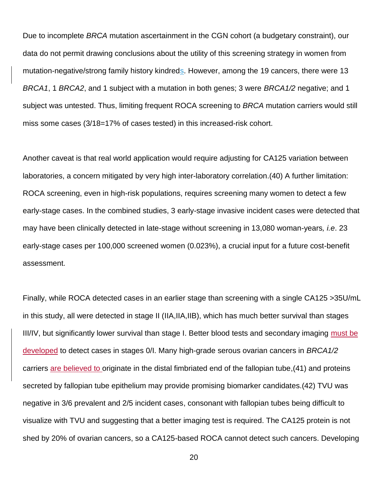Due to incomplete *BRCA* mutation ascertainment in the CGN cohort (a budgetary constraint), our data do not permit drawing conclusions about the utility of this screening strategy in women from mutation-negative/strong family history kindreds. However, among the 19 cancers, there were 13 *BRCA1*, 1 *BRCA2*, and 1 subject with a mutation in both genes; 3 were *BRCA1/2* negative; and 1 subject was untested. Thus, limiting frequent ROCA screening to *BRCA* mutation carriers would still miss some cases (3/18=17% of cases tested) in this increased-risk cohort.

Another caveat is that real world application would require adjusting for CA125 variation between laboratories, a concern mitigated by very high inter-laboratory correlation.(40) A further limitation: ROCA screening, even in high-risk populations, requires screening many women to detect a few early-stage cases. In the combined studies, 3 early-stage invasive incident cases were detected that may have been clinically detected in late-stage without screening in 13,080 woman-years*, i.e*. 23 early-stage cases per 100,000 screened women (0.023%), a crucial input for a future cost-benefit assessment.

Finally, while ROCA detected cases in an earlier stage than screening with a single CA125 >35U/mL in this study, all were detected in stage II (IIA,IIA,IIB), which has much better survival than stages III/IV, but significantly lower survival than stage I. Better blood tests and secondary imaging must be developed to detect cases in stages 0/I. Many high-grade serous ovarian cancers in *BRCA1/2* carriers are believed to originate in the distal fimbriated end of the fallopian tube,(41) and proteins secreted by fallopian tube epithelium may provide promising biomarker candidates.(42) TVU was negative in 3/6 prevalent and 2/5 incident cases, consonant with fallopian tubes being difficult to visualize with TVU and suggesting that a better imaging test is required. The CA125 protein is not shed by 20% of ovarian cancers, so a CA125-based ROCA cannot detect such cancers. Developing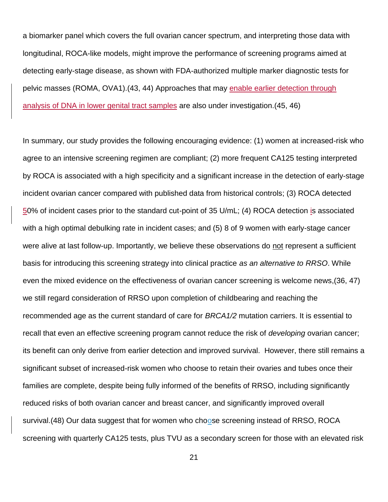a biomarker panel which covers the full ovarian cancer spectrum, and interpreting those data with longitudinal, ROCA-like models, might improve the performance of screening programs aimed at detecting early-stage disease, as shown with FDA-authorized multiple marker diagnostic tests for pelvic masses (ROMA, OVA1).(43, 44) Approaches that may enable earlier detection through analysis of DNA in lower genital tract samples are also under investigation.(45, 46)

In summary, our study provides the following encouraging evidence: (1) women at increased-risk who agree to an intensive screening regimen are compliant; (2) more frequent CA125 testing interpreted by ROCA is associated with a high specificity and a significant increase in the detection of early-stage incident ovarian cancer compared with published data from historical controls; (3) ROCA detected 50% of incident cases prior to the standard cut-point of 35 U/mL; (4) ROCA detection is associated with a high optimal debulking rate in incident cases; and (5) 8 of 9 women with early-stage cancer were alive at last follow-up. Importantly, we believe these observations do not represent a sufficient basis for introducing this screening strategy into clinical practice *as an alternative to RRSO*. While even the mixed evidence on the effectiveness of ovarian cancer screening is welcome news,(36, 47) we still regard consideration of RRSO upon completion of childbearing and reaching the recommended age as the current standard of care for *BRCA1/2* mutation carriers. It is essential to recall that even an effective screening program cannot reduce the risk of *developing* ovarian cancer; its benefit can only derive from earlier detection and improved survival. However, there still remains a significant subset of increased-risk women who choose to retain their ovaries and tubes once their families are complete, despite being fully informed of the benefits of RRSO, including significantly reduced risks of both ovarian cancer and breast cancer, and significantly improved overall survival.(48) Our data suggest that for women who choose screening instead of RRSO, ROCA screening with quarterly CA125 tests, plus TVU as a secondary screen for those with an elevated risk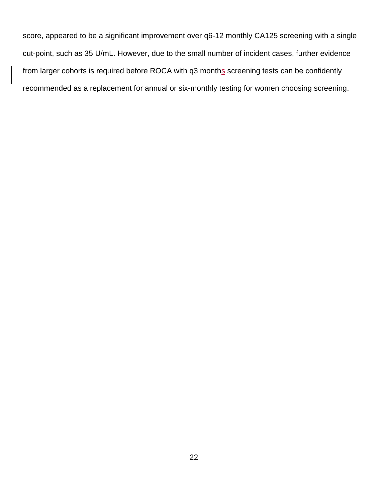score, appeared to be a significant improvement over q6-12 monthly CA125 screening with a single cut-point, such as 35 U/mL. However, due to the small number of incident cases, further evidence from larger cohorts is required before ROCA with q3 months screening tests can be confidently recommended as a replacement for annual or six-monthly testing for women choosing screening.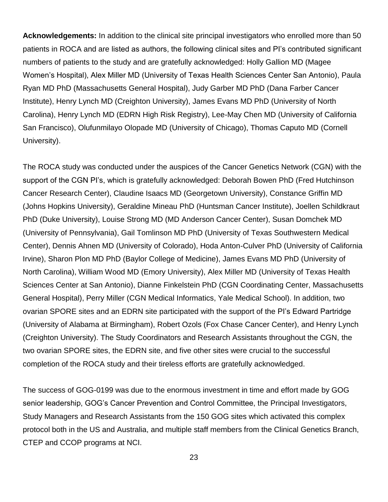**Acknowledgements:** In addition to the clinical site principal investigators who enrolled more than 50 patients in ROCA and are listed as authors, the following clinical sites and PI's contributed significant numbers of patients to the study and are gratefully acknowledged: Holly Gallion MD (Magee Women's Hospital), Alex Miller MD (University of Texas Health Sciences Center San Antonio), Paula Ryan MD PhD (Massachusetts General Hospital), Judy Garber MD PhD (Dana Farber Cancer Institute), Henry Lynch MD (Creighton University), James Evans MD PhD (University of North Carolina), Henry Lynch MD (EDRN High Risk Registry), Lee-May Chen MD (University of California San Francisco), Olufunmilayo Olopade MD (University of Chicago), Thomas Caputo MD (Cornell University).

The ROCA study was conducted under the auspices of the Cancer Genetics Network (CGN) with the support of the CGN PI's, which is gratefully acknowledged: Deborah Bowen PhD (Fred Hutchinson Cancer Research Center), Claudine Isaacs MD (Georgetown University), Constance Griffin MD (Johns Hopkins University), Geraldine Mineau PhD (Huntsman Cancer Institute), Joellen Schildkraut PhD (Duke University), Louise Strong MD (MD Anderson Cancer Center), Susan Domchek MD (University of Pennsylvania), Gail Tomlinson MD PhD (University of Texas Southwestern Medical Center), Dennis Ahnen MD (University of Colorado), Hoda Anton-Culver PhD (University of California Irvine), Sharon Plon MD PhD (Baylor College of Medicine), James Evans MD PhD (University of North Carolina), William Wood MD (Emory University), Alex Miller MD (University of Texas Health Sciences Center at San Antonio), Dianne Finkelstein PhD (CGN Coordinating Center, Massachusetts General Hospital), Perry Miller (CGN Medical Informatics, Yale Medical School). In addition, two ovarian SPORE sites and an EDRN site participated with the support of the PI's Edward Partridge (University of Alabama at Birmingham), Robert Ozols (Fox Chase Cancer Center), and Henry Lynch (Creighton University). The Study Coordinators and Research Assistants throughout the CGN, the two ovarian SPORE sites, the EDRN site, and five other sites were crucial to the successful completion of the ROCA study and their tireless efforts are gratefully acknowledged.

The success of GOG-0199 was due to the enormous investment in time and effort made by GOG senior leadership, GOG's Cancer Prevention and Control Committee, the Principal Investigators, Study Managers and Research Assistants from the 150 GOG sites which activated this complex protocol both in the US and Australia, and multiple staff members from the Clinical Genetics Branch, CTEP and CCOP programs at NCI.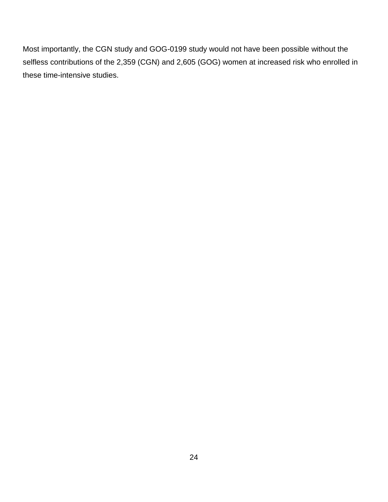Most importantly, the CGN study and GOG-0199 study would not have been possible without the selfless contributions of the 2,359 (CGN) and 2,605 (GOG) women at increased risk who enrolled in these time-intensive studies.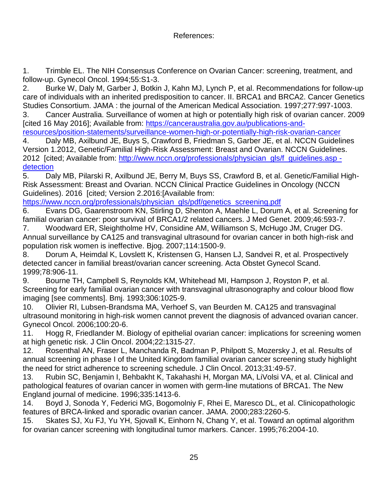# References:

1. Trimble EL. The NIH Consensus Conference on Ovarian Cancer: screening, treatment, and follow-up. Gynecol Oncol. 1994;55:S1-3.

2. Burke W, Daly M, Garber J, Botkin J, Kahn MJ, Lynch P, et al. Recommendations for follow-up care of individuals with an inherited predisposition to cancer. II. BRCA1 and BRCA2. Cancer Genetics Studies Consortium. JAMA : the journal of the American Medical Association. 1997;277:997-1003.

3. Cancer Australia. Surveillance of women at high or potentially high risk of ovarian cancer. 2009 [cited 16 May 2016]; Available from: [https://canceraustralia.gov.au/publications-and-](https://canceraustralia.gov.au/publications-and-resources/position-statements/surveillance-women-high-or-potentially-high-risk-ovarian-cancer)

[resources/position-statements/surveillance-women-high-or-potentially-high-risk-ovarian-cancer](https://canceraustralia.gov.au/publications-and-resources/position-statements/surveillance-women-high-or-potentially-high-risk-ovarian-cancer) 4. Daly MB, Axilbund JE, Buys S, Crawford B, Friedman S, Garber JE, et al. NCCN Guidelines

Version 1.2012, Genetic/Familial High-Risk Assessment: Breast and Ovarian. NCCN Guidelines. 2012 [cited; Available from: [http://www.nccn.org/professionals/physician\\_gls/f\\_guidelines.asp](http://www.nccn.org/professionals/physician_gls/f_guidelines.asp#detection)  [detection](http://www.nccn.org/professionals/physician_gls/f_guidelines.asp#detection)

5. Daly MB, Pilarski R, Axilbund JE, Berry M, Buys SS, Crawford B, et al. Genetic/Familial High-Risk Assessment: Breast and Ovarian. NCCN Clinical Practice Guidelines in Oncology (NCCN Guidelines). 2016 [cited; Version 2.2016:[Available from:

[https://www.nccn.org/professionals/physician\\_gls/pdf/genetics\\_screening.pdf](https://www.nccn.org/professionals/physician_gls/pdf/genetics_screening.pdf)

6. Evans DG, Gaarenstroom KN, Stirling D, Shenton A, Maehle L, Dorum A, et al. Screening for familial ovarian cancer: poor survival of BRCA1/2 related cancers. J Med Genet. 2009;46:593-7.

7. Woodward ER, Sleightholme HV, Considine AM, Williamson S, McHugo JM, Cruger DG. Annual surveillance by CA125 and transvaginal ultrasound for ovarian cancer in both high-risk and population risk women is ineffective. Bjog. 2007;114:1500-9.

8. Dorum A, Heimdal K, Lovslett K, Kristensen G, Hansen LJ, Sandvei R, et al. Prospectively detected cancer in familial breast/ovarian cancer screening. Acta Obstet Gynecol Scand. 1999;78:906-11.

9. Bourne TH, Campbell S, Reynolds KM, Whitehead MI, Hampson J, Royston P, et al. Screening for early familial ovarian cancer with transvaginal ultrasonography and colour blood flow imaging [see comments]. Bmj. 1993;306:1025-9.

10. Olivier RI, Lubsen-Brandsma MA, Verhoef S, van Beurden M. CA125 and transvaginal ultrasound monitoring in high-risk women cannot prevent the diagnosis of advanced ovarian cancer. Gynecol Oncol. 2006;100:20-6.

11. Hogg R, Friedlander M. Biology of epithelial ovarian cancer: implications for screening women at high genetic risk. J Clin Oncol. 2004;22:1315-27.

12. Rosenthal AN, Fraser L, Manchanda R, Badman P, Philpott S, Mozersky J, et al. Results of annual screening in phase I of the United Kingdom familial ovarian cancer screening study highlight the need for strict adherence to screening schedule. J Clin Oncol. 2013;31:49-57.

13. Rubin SC, Benjamin I, Behbakht K, Takahashi H, Morgan MA, LiVolsi VA, et al. Clinical and pathological features of ovarian cancer in women with germ-line mutations of BRCA1. The New England journal of medicine. 1996;335:1413-6.

14. Boyd J, Sonoda Y, Federici MG, Bogomolniy F, Rhei E, Maresco DL, et al. Clinicopathologic features of BRCA-linked and sporadic ovarian cancer. JAMA. 2000;283:2260-5.

15. Skates SJ, Xu FJ, Yu YH, Sjovall K, Einhorn N, Chang Y, et al. Toward an optimal algorithm for ovarian cancer screening with longitudinal tumor markers. Cancer. 1995;76:2004-10.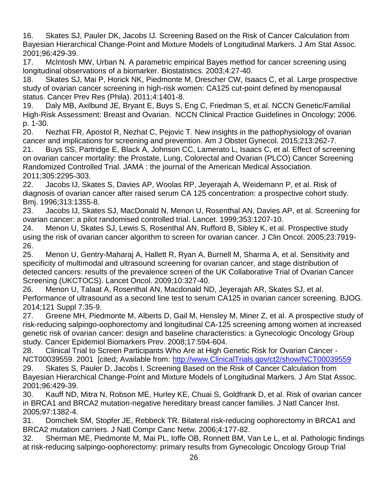16. Skates SJ, Pauler DK, Jacobs IJ. Screening Based on the Risk of Cancer Calculation from Bayesian Hierarchical Change-Point and Mixture Models of Longitudinal Markers. J Am Stat Assoc. 2001;96:429-39.

17. McIntosh MW, Urban N. A parametric empirical Bayes method for cancer screening using longitudinal observations of a biomarker. Biostatistics. 2003;4:27-40.

18. Skates SJ, Mai P, Horick NK, Piedmonte M, Drescher CW, Isaacs C, et al. Large prospective study of ovarian cancer screening in high-risk women: CA125 cut-point defined by menopausal status. Cancer Prev Res (Phila). 2011;4:1401-8.

19. Daly MB, Axilbund JE, Bryant E, Buys S, Eng C, Friedman S, et al. NCCN Genetic/Familial High-Risk Assessment: Breast and Ovarian. NCCN Clinical Practice Guidelines in Oncology; 2006. p. 1-30.

20. Nezhat FR, Apostol R, Nezhat C, Pejovic T. New insights in the pathophysiology of ovarian cancer and implications for screening and prevention. Am J Obstet Gynecol. 2015;213:262-7.

21. Buys SS, Partridge E, Black A, Johnson CC, Lamerato L, Isaacs C, et al. Effect of screening on ovarian cancer mortality: the Prostate, Lung, Colorectal and Ovarian (PLCO) Cancer Screening Randomized Controlled Trial. JAMA : the journal of the American Medical Association. 2011;305:2295-303.

22. Jacobs IJ, Skates S, Davies AP, Woolas RP, Jeyerajah A, Weidemann P, et al. Risk of diagnosis of ovarian cancer after raised serum CA 125 concentration: a prospective cohort study. Bmj. 1996;313:1355-8.

23. Jacobs IJ, Skates SJ, MacDonald N, Menon U, Rosenthal AN, Davies AP, et al. Screening for ovarian cancer: a pilot randomised controlled trial. Lancet. 1999;353:1207-10.

24. Menon U, Skates SJ, Lewis S, Rosenthal AN, Rufford B, Sibley K, et al. Prospective study using the risk of ovarian cancer algorithm to screen for ovarian cancer. J Clin Oncol. 2005;23:7919- 26.

25. Menon U, Gentry-Maharaj A, Hallett R, Ryan A, Burnell M, Sharma A, et al. Sensitivity and specificity of multimodal and ultrasound screening for ovarian cancer, and stage distribution of detected cancers: results of the prevalence screen of the UK Collaborative Trial of Ovarian Cancer Screening (UKCTOCS). Lancet Oncol. 2009;10:327-40.

26. Menon U, Talaat A, Rosenthal AN, Macdonald ND, Jeyerajah AR, Skates SJ, et al. Performance of ultrasound as a second line test to serum CA125 in ovarian cancer screening. BJOG. 2014;121 Suppl 7:35-9.

27. Greene MH, Piedmonte M, Alberts D, Gail M, Hensley M, Miner Z, et al. A prospective study of risk-reducing salpingo-oophorectomy and longitudinal CA-125 screening among women at increased genetic risk of ovarian cancer: design and baseline characteristics: a Gynecologic Oncology Group study. Cancer Epidemiol Biomarkers Prev. 2008;17:594-604.

28. Clinical Trial to Screen Participants Who Are at High Genetic Risk for Ovarian Cancer - NCT00039559. 2001 [cited; Available from: [http://www.ClinicalTrials.gov/ct2/show/NCT00039559](http://www.clinicaltrials.gov/ct2/show/NCT00039559) 29. Skates S, Pauler D, Jacobs I. Screening Based on the Risk of Cancer Calculation from

Bayesian Hierarchical Change-Point and Mixture Models of Longitudinal Markers. J Am Stat Assoc. 2001;96:429-39.

30. Kauff ND, Mitra N, Robson ME, Hurley KE, Chuai S, Goldfrank D, et al. Risk of ovarian cancer in BRCA1 and BRCA2 mutation-negative hereditary breast cancer families. J Natl Cancer Inst. 2005;97:1382-4.

31. Domchek SM, Stopfer JE, Rebbeck TR. Bilateral risk-reducing oophorectomy in BRCA1 and BRCA2 mutation carriers. J Natl Compr Canc Netw. 2006;4:177-82.

32. Sherman ME, Piedmonte M, Mai PL, Ioffe OB, Ronnett BM, Van Le L, et al. Pathologic findings at risk-reducing salpingo-oophorectomy: primary results from Gynecologic Oncology Group Trial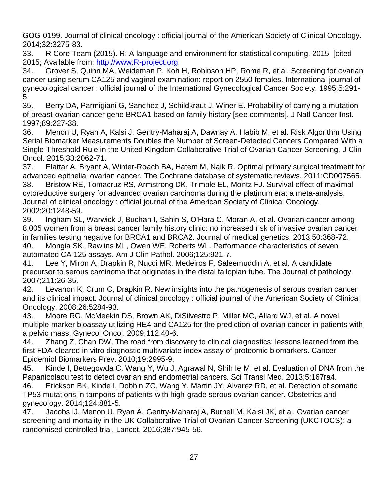GOG-0199. Journal of clinical oncology : official journal of the American Society of Clinical Oncology. 2014;32:3275-83.

33. R Core Team (2015). R: A language and environment for statistical computing. 2015 [cited 2015; Available from: [http://www.R-project.org](http://www.r-project.org/)

34. Grover S, Quinn MA, Weideman P, Koh H, Robinson HP, Rome R, et al. Screening for ovarian cancer using serum CA125 and vaginal examination: report on 2550 females. International journal of gynecological cancer : official journal of the International Gynecological Cancer Society. 1995;5:291- 5.

35. Berry DA, Parmigiani G, Sanchez J, Schildkraut J, Winer E. Probability of carrying a mutation of breast-ovarian cancer gene BRCA1 based on family history [see comments]. J Natl Cancer Inst. 1997;89:227-38.

36. Menon U, Ryan A, Kalsi J, Gentry-Maharaj A, Dawnay A, Habib M, et al. Risk Algorithm Using Serial Biomarker Measurements Doubles the Number of Screen-Detected Cancers Compared With a Single-Threshold Rule in the United Kingdom Collaborative Trial of Ovarian Cancer Screening. J Clin Oncol. 2015;33:2062-71.

37. Elattar A, Bryant A, Winter-Roach BA, Hatem M, Naik R. Optimal primary surgical treatment for advanced epithelial ovarian cancer. The Cochrane database of systematic reviews. 2011:CD007565. 38. Bristow RE, Tomacruz RS, Armstrong DK, Trimble EL, Montz FJ. Survival effect of maximal cytoreductive surgery for advanced ovarian carcinoma during the platinum era: a meta-analysis. Journal of clinical oncology : official journal of the American Society of Clinical Oncology. 2002;20:1248-59.

39. Ingham SL, Warwick J, Buchan I, Sahin S, O'Hara C, Moran A, et al. Ovarian cancer among 8,005 women from a breast cancer family history clinic: no increased risk of invasive ovarian cancer in families testing negative for BRCA1 and BRCA2. Journal of medical genetics. 2013;50:368-72.

40. Mongia SK, Rawlins ML, Owen WE, Roberts WL. Performance characteristics of seven automated CA 125 assays. Am J Clin Pathol. 2006;125:921-7.

41. Lee Y, Miron A, Drapkin R, Nucci MR, Medeiros F, Saleemuddin A, et al. A candidate precursor to serous carcinoma that originates in the distal fallopian tube. The Journal of pathology. 2007;211:26-35.

42. Levanon K, Crum C, Drapkin R. New insights into the pathogenesis of serous ovarian cancer and its clinical impact. Journal of clinical oncology : official journal of the American Society of Clinical Oncology. 2008;26:5284-93.

43. Moore RG, McMeekin DS, Brown AK, DiSilvestro P, Miller MC, Allard WJ, et al. A novel multiple marker bioassay utilizing HE4 and CA125 for the prediction of ovarian cancer in patients with a pelvic mass. Gynecol Oncol. 2009;112:40-6.

44. Zhang Z, Chan DW. The road from discovery to clinical diagnostics: lessons learned from the first FDA-cleared in vitro diagnostic multivariate index assay of proteomic biomarkers. Cancer Epidemiol Biomarkers Prev. 2010;19:2995-9.

45. Kinde I, Bettegowda C, Wang Y, Wu J, Agrawal N, Shih Ie M, et al. Evaluation of DNA from the Papanicolaou test to detect ovarian and endometrial cancers. Sci Transl Med. 2013;5:167ra4.

46. Erickson BK, Kinde I, Dobbin ZC, Wang Y, Martin JY, Alvarez RD, et al. Detection of somatic TP53 mutations in tampons of patients with high-grade serous ovarian cancer. Obstetrics and gynecology. 2014;124:881-5.

47. Jacobs IJ, Menon U, Ryan A, Gentry-Maharaj A, Burnell M, Kalsi JK, et al. Ovarian cancer screening and mortality in the UK Collaborative Trial of Ovarian Cancer Screening (UKCTOCS): a randomised controlled trial. Lancet. 2016;387:945-56.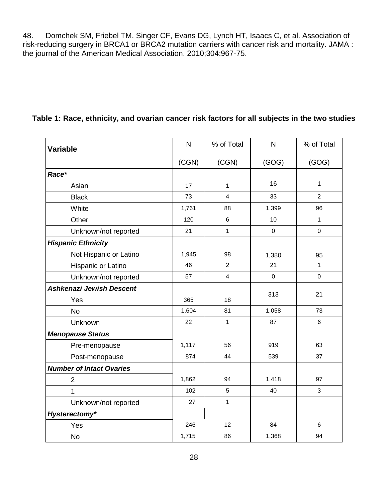48. Domchek SM, Friebel TM, Singer CF, Evans DG, Lynch HT, Isaacs C, et al. Association of risk-reducing surgery in BRCA1 or BRCA2 mutation carriers with cancer risk and mortality. JAMA : the journal of the American Medical Association. 2010;304:967-75.

| <b>Variable</b>                 | N     | % of Total              | $\mathsf{N}$ | % of Total     |  |
|---------------------------------|-------|-------------------------|--------------|----------------|--|
|                                 | (CGN) | (CGN)                   | (GOG)        | (GOG)          |  |
| Race*                           |       |                         |              |                |  |
| Asian                           | 17    | 1                       | 16           | 1              |  |
| <b>Black</b>                    | 73    | $\overline{4}$          | 33           | $\overline{2}$ |  |
| White                           | 1,761 | 88                      | 1,399        | 96             |  |
| Other                           | 120   | 6                       | 10           | $\mathbf{1}$   |  |
| Unknown/not reported            | 21    | $\mathbf{1}$            | $\mathbf 0$  | $\mathbf 0$    |  |
| <b>Hispanic Ethnicity</b>       |       |                         |              |                |  |
| Not Hispanic or Latino          | 1,945 | 98                      | 1,380        | 95             |  |
| Hispanic or Latino              | 46    | $\overline{2}$          | 21           | $\mathbf{1}$   |  |
| Unknown/not reported            | 57    | $\overline{\mathbf{4}}$ | $\mathbf 0$  | $\mathbf 0$    |  |
| <b>Ashkenazi Jewish Descent</b> |       |                         |              |                |  |
| Yes                             | 365   | 18                      | 313          | 21             |  |
| <b>No</b>                       | 1,604 | 81                      | 1,058        | 73             |  |
| Unknown                         | 22    | $\mathbf{1}$            | 87           | 6              |  |
| <b>Menopause Status</b>         |       |                         |              |                |  |
| Pre-menopause                   | 1,117 | 56                      | 919          | 63             |  |
| Post-menopause                  | 874   | 44                      | 539          | 37             |  |
| <b>Number of Intact Ovaries</b> |       |                         |              |                |  |
| $\overline{2}$                  | 1,862 | 94                      | 1,418        | 97             |  |
| 1                               | 102   | 5                       | 40           | 3              |  |
| Unknown/not reported            | 27    | $\mathbf{1}$            |              |                |  |
| Hysterectomy*                   |       |                         |              |                |  |
| Yes                             | 246   | 12                      | 84           | 6              |  |
| <b>No</b>                       | 1,715 | 86                      | 1,368        | 94             |  |

# **Table 1: Race, ethnicity, and ovarian cancer risk factors for all subjects in the two studies**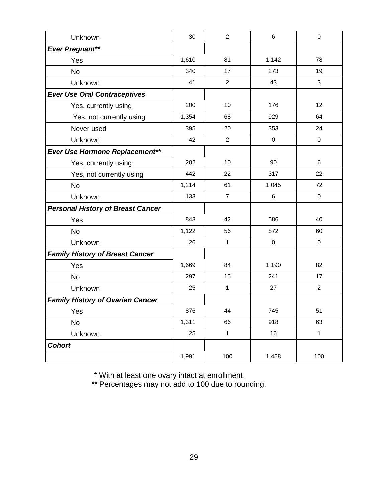| Unknown                                  | 30    | $\overline{c}$ | 6                | 0              |  |
|------------------------------------------|-------|----------------|------------------|----------------|--|
| <b>Ever Pregnant**</b>                   |       |                |                  |                |  |
| Yes                                      | 1,610 | 81             | 1,142            | 78             |  |
| <b>No</b>                                | 340   | 17             | 273              | 19             |  |
| Unknown                                  | 41    | $\overline{2}$ | 43               | 3              |  |
| <b>Ever Use Oral Contraceptives</b>      |       |                |                  |                |  |
| Yes, currently using                     | 200   | 10             | 176              | 12             |  |
| Yes, not currently using                 | 1,354 | 68             | 929              | 64             |  |
| Never used                               | 395   | 20             | 353              | 24             |  |
| Unknown                                  | 42    | $\overline{2}$ | $\mathbf 0$      | $\mathbf 0$    |  |
| Ever Use Hormone Replacement**           |       |                |                  |                |  |
| Yes, currently using                     | 202   | 10             | 90               | 6              |  |
| Yes, not currently using                 | 442   | 22             | 317              | 22             |  |
| <b>No</b>                                | 1,214 | 61             | 1,045            | 72             |  |
| Unknown                                  | 133   | $\overline{7}$ | $\,6$            | $\pmb{0}$      |  |
| <b>Personal History of Breast Cancer</b> |       |                |                  |                |  |
| Yes                                      | 843   | 42             | 586              | 40             |  |
| <b>No</b>                                | 1,122 | 56             | 872              | 60             |  |
| Unknown                                  | 26    | $\mathbf{1}$   | $\boldsymbol{0}$ | $\pmb{0}$      |  |
| <b>Family History of Breast Cancer</b>   |       |                |                  |                |  |
| Yes                                      | 1,669 | 84             | 1,190            | 82             |  |
| <b>No</b>                                | 297   | 15             | 241              | 17             |  |
| Unknown                                  | 25    | $\mathbf{1}$   | 27               | $\overline{2}$ |  |
| <b>Family History of Ovarian Cancer</b>  |       |                |                  |                |  |
| Yes                                      | 876   | 44             | 745              | 51             |  |
| <b>No</b>                                | 1,311 | 66             | 918              | 63             |  |
| Unknown                                  | 25    | $\mathbf{1}$   | 16               | $\mathbf{1}$   |  |
| <b>Cohort</b>                            |       |                |                  |                |  |
|                                          | 1,991 | 100            | 1,458            | 100            |  |

\* With at least one ovary intact at enrollment.

*\*\** Percentages may not add to 100 due to rounding.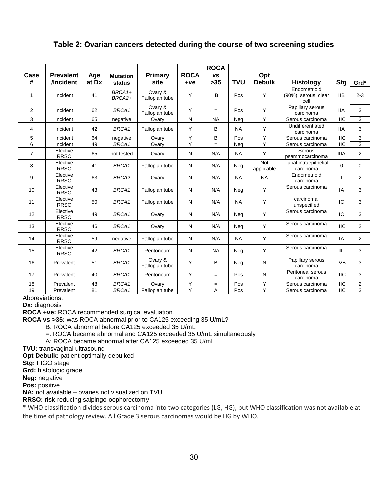## **Table 2: Ovarian cancers detected during the course of two screening studies**

| Case<br>#      | <b>Prevalent</b><br>/Incident | Age<br>at Dx | <b>Mutation</b><br>status | Primary<br>site           | <b>ROCA</b><br>$+ve$ | <b>ROCA</b><br><b>VS</b><br>$>35$ | <b>TVU</b> | Opt<br><b>Debulk</b> | <b>Histology</b>                             | Stg            | Grd*           |
|----------------|-------------------------------|--------------|---------------------------|---------------------------|----------------------|-----------------------------------|------------|----------------------|----------------------------------------------|----------------|----------------|
| 1              | Incident                      | 41           | BRCA1+<br>BRCA2+          | Ovary &<br>Fallopian tube | Y                    | B                                 | Pos        | Y                    | Endometrioid<br>(90%), serous, clear<br>cell | <b>IIB</b>     | $2 - 3$        |
| $\overline{2}$ | Incident                      | 62           | BRCA1                     | Ovary &<br>Fallopian tube | Y                    | $=$                               | Pos        | Y                    | Papillary serous<br>carcinoma                | <b>IIA</b>     | 3              |
| 3              | Incident                      | 65           | negative                  | Ovarv                     | N                    | <b>NA</b>                         | Neg        | Y                    | Serous carcinoma                             | <b>IIIC</b>    | 3              |
| 4              | Incident                      | 42           | BRCA1                     | Fallopian tube            | Y                    | B                                 | <b>NA</b>  | Y                    | Undifferentiated<br>carcinoma                | <b>IIA</b>     | 3              |
| 5              | Incident                      | 64           | negative                  | Ovarv                     | Y                    | В                                 | Pos        | Y                    | Serous carcinoma                             | <b>IIIC</b>    | 3              |
| 6              | Incident                      | 49           | BRCA1                     | Ovary                     | Y                    | $=$                               | Neg        | Y                    | Serous carcinoma                             | $\overline{I}$ | $\overline{3}$ |
| $\overline{7}$ | Elective<br><b>RRSO</b>       | 65           | not tested                | Ovary                     | N                    | N/A                               | <b>NA</b>  | Y                    | Serous<br>psammocarcinoma                    | <b>IIIA</b>    | $\overline{2}$ |
| 8              | Elective<br><b>RRSO</b>       | 41           | BRCA1                     | Fallopian tube            | N                    | N/A                               | Neg        | Not<br>applicable    | Tubal intraepithelial<br>carcinoma           | $\Omega$       | $\Omega$       |
| 9              | Elective<br><b>RRSO</b>       | 63           | BRCA <sub>2</sub>         | Ovary                     | N                    | N/A                               | <b>NA</b>  | <b>NA</b>            | Endometrioid<br>carcinoma                    |                | $\overline{2}$ |
| 10             | Elective<br><b>RRSO</b>       | 43           | BRCA1                     | Fallopian tube            | N                    | N/A                               | Neg        | Y                    | Serous carcinoma                             | IA             | 3              |
| 11             | Elective<br><b>RRSO</b>       | 50           | BRCA1                     | Fallopian tube            | N                    | N/A                               | <b>NA</b>  | Y                    | carcinoma,<br>unspecified                    | IC             | 3              |
| 12             | Elective<br><b>RRSO</b>       | 49           | BRCA1                     | Ovary                     | N                    | N/A                               | Neg        | Y                    | Serous carcinoma                             | IC.            | 3              |
| 13             | Elective<br><b>RRSO</b>       | 46           | BRCA1                     | Ovary                     | N                    | N/A                               | Neg        | Y                    | Serous carcinoma                             | <b>IIIC</b>    | 2              |
| 14             | Elective<br><b>RRSO</b>       | 59           | negative                  | Fallopian tube            | N                    | N/A                               | <b>NA</b>  | Y                    | Serous carcinoma                             | IA             | 2              |
| 15             | Elective<br><b>RRSO</b>       | 42           | BRCA1                     | Peritoneum                | N                    | <b>NA</b>                         | Neg        | Y                    | Serous carcinoma                             | III            | 3              |
| 16             | Prevalent                     | 51           | BRCA1                     | Ovary &<br>Fallopian tube | Y                    | B                                 | Neg        | N                    | Papillary serous<br>carcinoma                | <b>IVB</b>     | 3              |
| 17             | Prevalent                     | 40           | BRCA1                     | Peritoneum                | Y                    | $=$                               | Pos        | N                    | Peritoneal serous<br>carcinoma               | <b>IIIC</b>    | 3              |
| 18             | Prevalent                     | 48           | BRCA1                     | Ovary                     | Y                    | $=$                               | Pos        | Y                    | Serous carcinoma                             | <b>IIIC</b>    | $\overline{2}$ |
| 19             | Prevalent                     | 81           | BRCA1                     | Fallopian tube            | Y                    | A                                 | Pos        | Y                    | Serous carcinoma                             | <b>IIIC</b>    | 3              |

Abbreviations:

Dx: diagnosis

**ROCA +ve:** ROCA recommended surgical evaluation.

**ROCA vs >35:** was ROCA abnormal prior to CA125 exceeding 35 U/mL?

B: ROCA abnormal before CA125 exceeded 35 U/mL

=: ROCA became abnormal and CA125 exceeded 35 U/mL simultaneously

A: ROCA became abnormal after CA125 exceeded 35 U/mL

**TVU:** transvaginal ultrasound

**Opt Debulk:** patient optimally-debulked

**Stg:** FIGO stage

**Grd:** histologic grade

**Neg:** negative

**Pos:** positive

**NA:** not available – ovaries not visualized on TVU

**RRSO:** risk-reducing salpingo-oophorectomy

\* WHO classification divides serous carcinoma into two categories (LG, HG), but WHO classification was not available at the time of pathology review. All Grade 3 serous carcinomas would be HG by WHO.